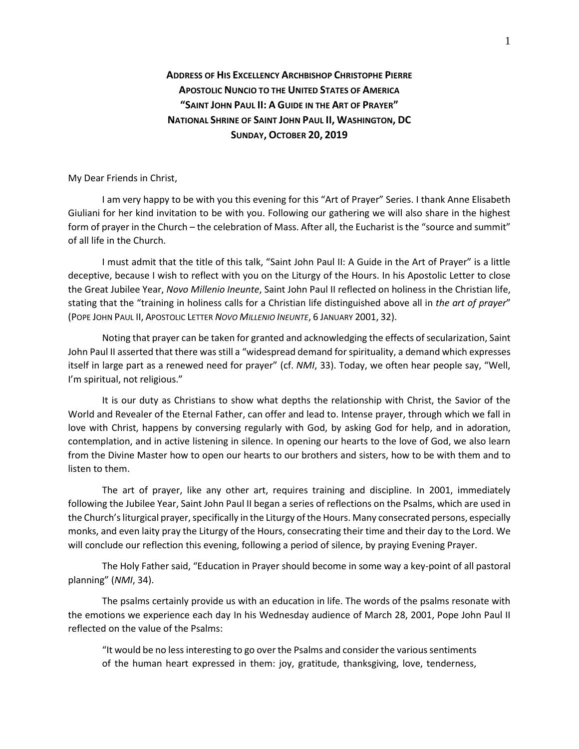## **ADDRESS OF HIS EXCELLENCY ARCHBISHOP CHRISTOPHE PIERRE APOSTOLIC NUNCIO TO THE UNITED STATES OF AMERICA "SAINT JOHN PAUL II: A GUIDE IN THE ART OF PRAYER" NATIONAL SHRINE OF SAINT JOHN PAUL II, WASHINGTON, DC SUNDAY, OCTOBER 20, 2019**

My Dear Friends in Christ,

I am very happy to be with you this evening for this "Art of Prayer" Series. I thank Anne Elisabeth Giuliani for her kind invitation to be with you. Following our gathering we will also share in the highest form of prayer in the Church – the celebration of Mass. After all, the Eucharist is the "source and summit" of all life in the Church.

I must admit that the title of this talk, "Saint John Paul II: A Guide in the Art of Prayer" is a little deceptive, because I wish to reflect with you on the Liturgy of the Hours. In his Apostolic Letter to close the Great Jubilee Year, *Novo Millenio Ineunte*, Saint John Paul II reflected on holiness in the Christian life, stating that the "training in holiness calls for a Christian life distinguished above all in *the art of prayer*" (POPE JOHN PAUL II, APOSTOLIC LETTER *NOVO MILLENIO INEUNTE*, 6 JANUARY 2001, 32).

Noting that prayer can be taken for granted and acknowledging the effects of secularization, Saint John Paul II asserted that there was still a "widespread demand for spirituality, a demand which expresses itself in large part as a renewed need for prayer" (cf. *NMI*, 33). Today, we often hear people say, "Well, I'm spiritual, not religious."

It is our duty as Christians to show what depths the relationship with Christ, the Savior of the World and Revealer of the Eternal Father, can offer and lead to. Intense prayer, through which we fall in love with Christ, happens by conversing regularly with God, by asking God for help, and in adoration, contemplation, and in active listening in silence. In opening our hearts to the love of God, we also learn from the Divine Master how to open our hearts to our brothers and sisters, how to be with them and to listen to them.

The art of prayer, like any other art, requires training and discipline. In 2001, immediately following the Jubilee Year, Saint John Paul II began a series of reflections on the Psalms, which are used in the Church's liturgical prayer, specifically in the Liturgy of the Hours. Many consecrated persons, especially monks, and even laity pray the Liturgy of the Hours, consecrating their time and their day to the Lord. We will conclude our reflection this evening, following a period of silence, by praying Evening Prayer.

The Holy Father said, "Education in Prayer should become in some way a key-point of all pastoral planning" (*NMI*, 34).

The psalms certainly provide us with an education in life. The words of the psalms resonate with the emotions we experience each day In his Wednesday audience of March 28, 2001, Pope John Paul II reflected on the value of the Psalms:

"It would be no less interesting to go over the Psalms and consider the various sentiments of the human heart expressed in them: joy, gratitude, thanksgiving, love, tenderness,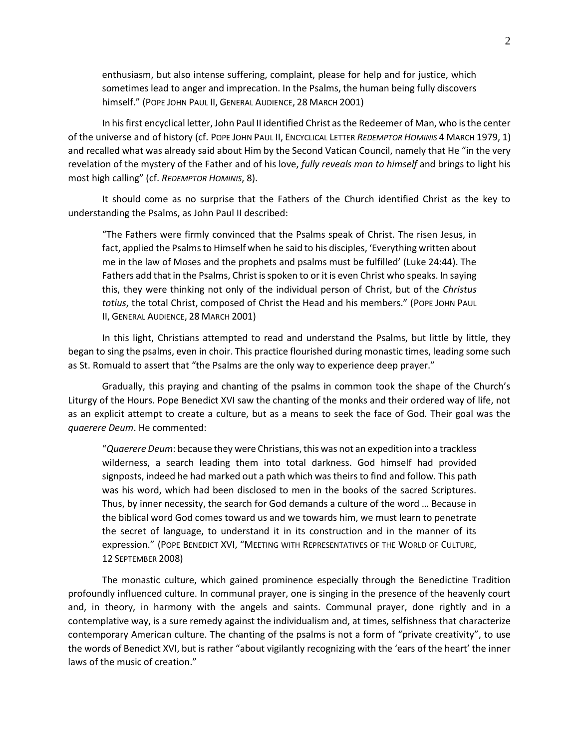enthusiasm, but also intense suffering, complaint, please for help and for justice, which sometimes lead to anger and imprecation. In the Psalms, the human being fully discovers himself." (POPE JOHN PAUL II, GENERAL AUDIENCE, 28 MARCH 2001)

In his first encyclical letter, John Paul II identified Christ as the Redeemer of Man, who is the center of the universe and of history (cf. POPE JOHN PAUL II, ENCYCLICAL LETTER *REDEMPTOR HOMINIS* 4 MARCH 1979, 1) and recalled what was already said about Him by the Second Vatican Council, namely that He "in the very revelation of the mystery of the Father and of his love, *fully reveals man to himself* and brings to light his most high calling" (cf. *REDEMPTOR HOMINIS*, 8).

It should come as no surprise that the Fathers of the Church identified Christ as the key to understanding the Psalms, as John Paul II described:

"The Fathers were firmly convinced that the Psalms speak of Christ. The risen Jesus, in fact, applied the Psalms to Himself when he said to his disciples, 'Everything written about me in the law of Moses and the prophets and psalms must be fulfilled' (Luke 24:44). The Fathers add that in the Psalms, Christ is spoken to or it is even Christ who speaks. In saying this, they were thinking not only of the individual person of Christ, but of the *Christus totius*, the total Christ, composed of Christ the Head and his members." (POPE JOHN PAUL II, GENERAL AUDIENCE, 28 MARCH 2001)

In this light, Christians attempted to read and understand the Psalms, but little by little, they began to sing the psalms, even in choir. This practice flourished during monastic times, leading some such as St. Romuald to assert that "the Psalms are the only way to experience deep prayer."

Gradually, this praying and chanting of the psalms in common took the shape of the Church's Liturgy of the Hours. Pope Benedict XVI saw the chanting of the monks and their ordered way of life, not as an explicit attempt to create a culture, but as a means to seek the face of God. Their goal was the *quaerere Deum*. He commented:

"*Quaerere Deum*: because they were Christians, this was not an expedition into a trackless wilderness, a search leading them into total darkness. God himself had provided signposts, indeed he had marked out a path which was theirs to find and follow. This path was his word, which had been disclosed to men in the books of the sacred Scriptures. Thus, by inner necessity, the search for God demands a culture of the word … Because in the biblical word God comes toward us and we towards him, we must learn to penetrate the secret of language, to understand it in its construction and in the manner of its expression." (POPE BENEDICT XVI, "MEETING WITH REPRESENTATIVES OF THE WORLD OF CULTURE, 12 SEPTEMBER 2008)

The monastic culture, which gained prominence especially through the Benedictine Tradition profoundly influenced culture. In communal prayer, one is singing in the presence of the heavenly court and, in theory, in harmony with the angels and saints. Communal prayer, done rightly and in a contemplative way, is a sure remedy against the individualism and, at times, selfishness that characterize contemporary American culture. The chanting of the psalms is not a form of "private creativity", to use the words of Benedict XVI, but is rather "about vigilantly recognizing with the 'ears of the heart' the inner laws of the music of creation."